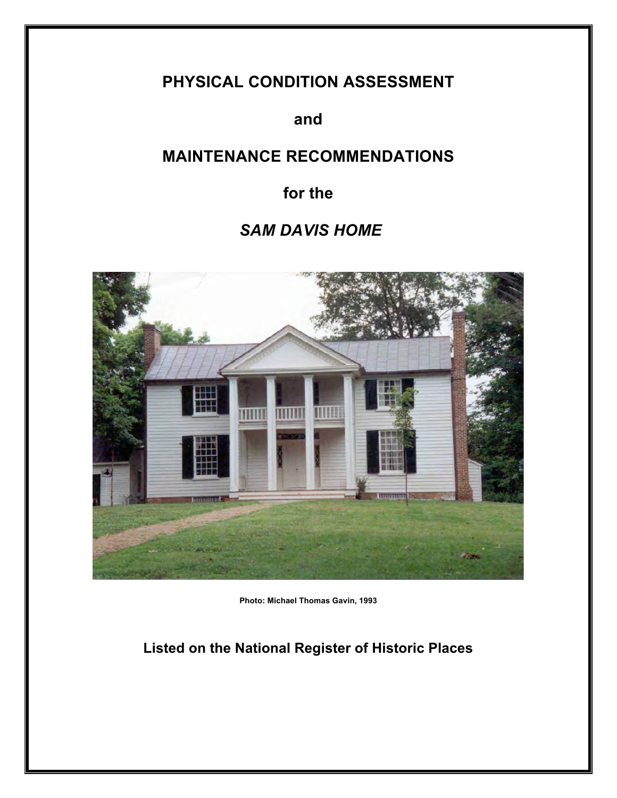# **PHYSICAL CONDITION ASSESSMENT**

**and**

# **MAINTENANCE RECOMMENDATIONS**

# **for the**

# *SAM DAVIS HOME*



**Photo: Michael Thomas Gavin, 1993**

**Listed on the National Register of Historic Places**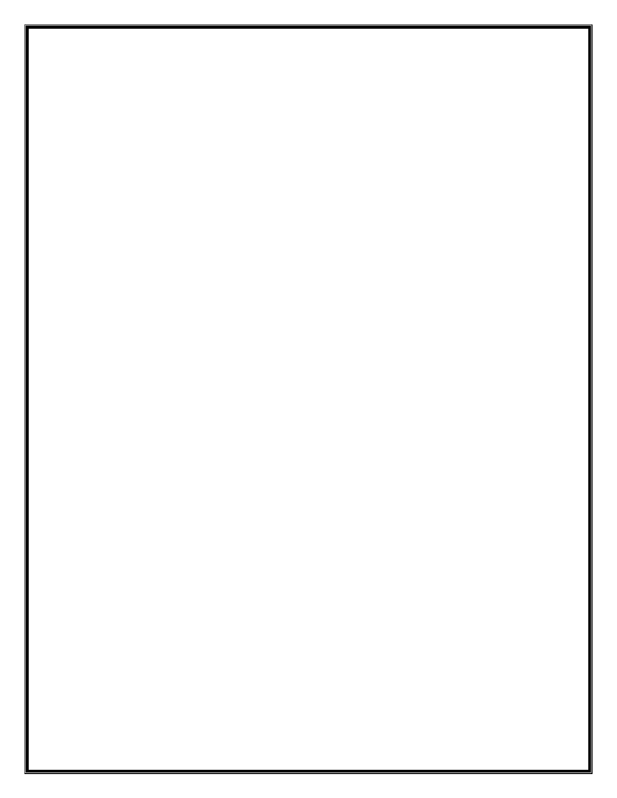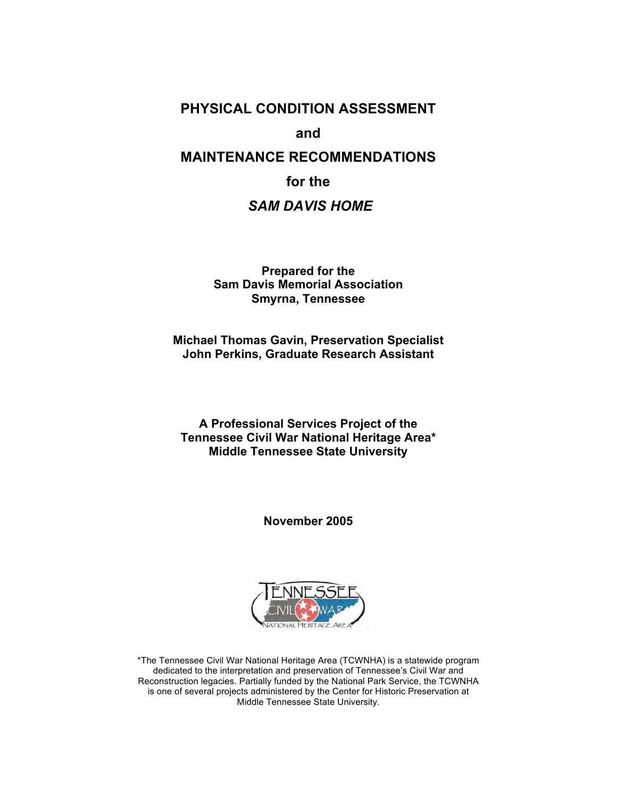**PHYSICAL CONDITION ASSESSMENT**

**and**

# **MAINTENANCE RECOMMENDATIONS**

## **for the**

# *SAM DAVIS HOME*

**Prepared for the Sam Davis Memorial Association Smyrna, Tennessee**

**Michael Thomas Gavin, Preservation Specialist John Perkins, Graduate Research Assistant**

**A Professional Services Project of the Tennessee Civil War National Heritage Area\* Middle Tennessee State University**

**November 2005**



\*The Tennessee Civil War National Heritage Area (TCWNHA) is a statewide program dedicated to the interpretation and preservation of Tennessee's Civil War and Reconstruction legacies. Partially funded by the National Park Service, the TCWNHA is one of several projects administered by the Center for Historic Preservation at Middle Tennessee State University.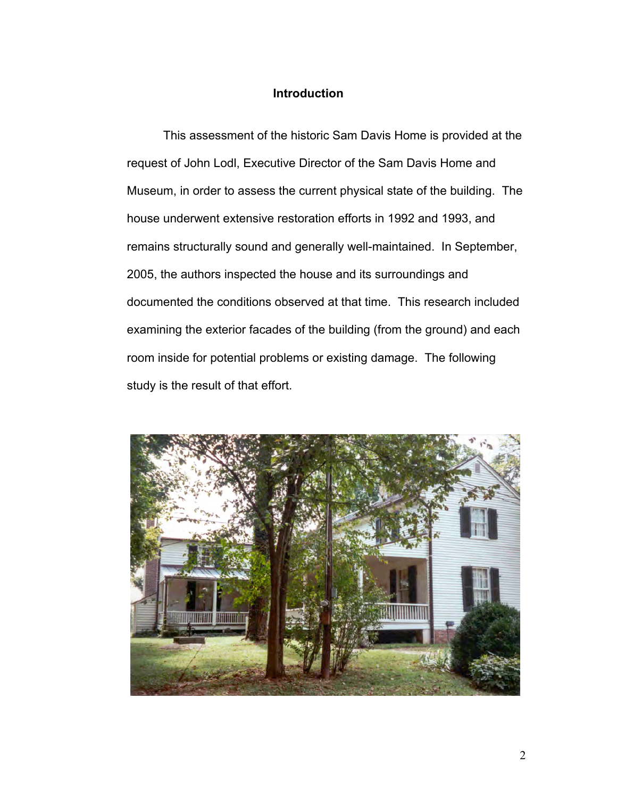#### **Introduction**

This assessment of the historic Sam Davis Home is provided at the request of John Lodl, Executive Director of the Sam Davis Home and Museum, in order to assess the current physical state of the building. The house underwent extensive restoration efforts in 1992 and 1993, and remains structurally sound and generally well-maintained. In September, 2005, the authors inspected the house and its surroundings and documented the conditions observed at that time. This research included examining the exterior facades of the building (from the ground) and each room inside for potential problems or existing damage. The following study is the result of that effort.

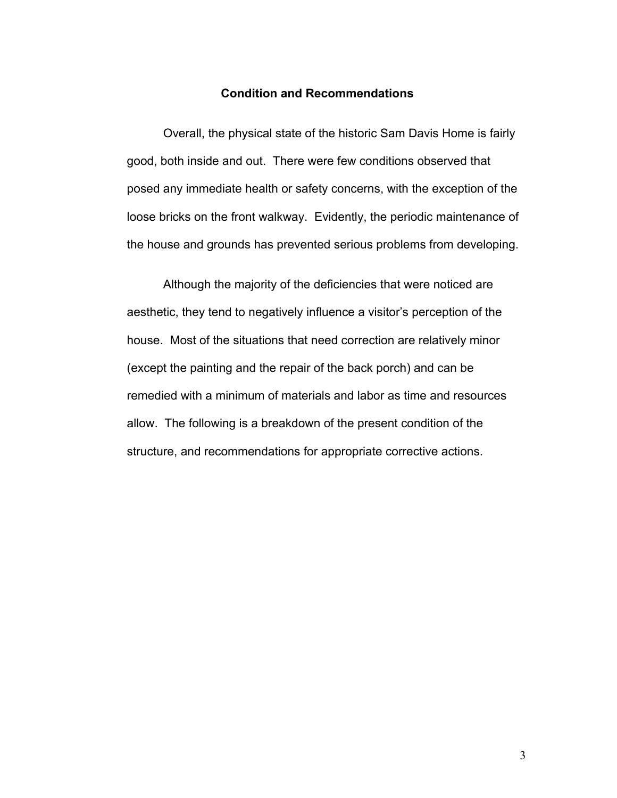## **Condition and Recommendations**

Overall, the physical state of the historic Sam Davis Home is fairly good, both inside and out. There were few conditions observed that posed any immediate health or safety concerns, with the exception of the loose bricks on the front walkway. Evidently, the periodic maintenance of the house and grounds has prevented serious problems from developing.

Although the majority of the deficiencies that were noticed are aesthetic, they tend to negatively influence a visitor's perception of the house. Most of the situations that need correction are relatively minor (except the painting and the repair of the back porch) and can be remedied with a minimum of materials and labor as time and resources allow. The following is a breakdown of the present condition of the structure, and recommendations for appropriate corrective actions.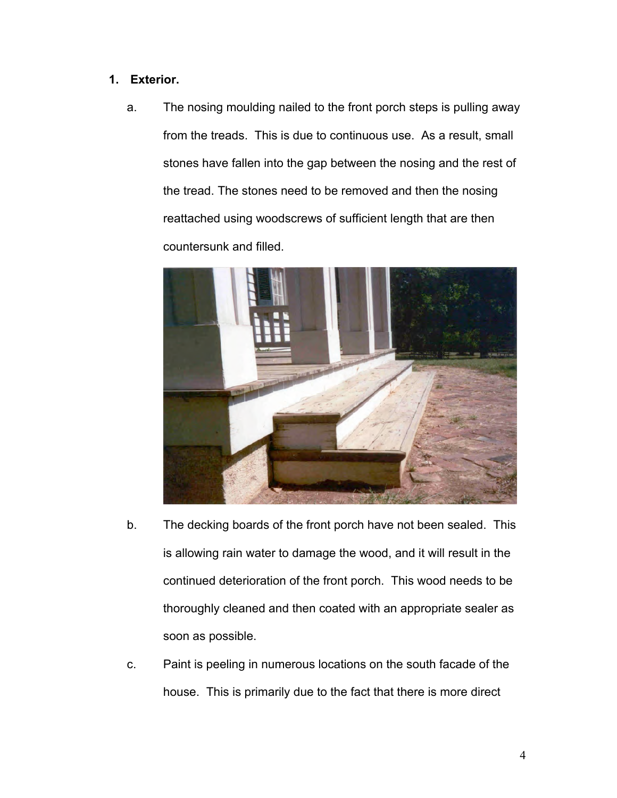- **1. Exterior.**
	- a. The nosing moulding nailed to the front porch steps is pulling away from the treads. This is due to continuous use. As a result, small stones have fallen into the gap between the nosing and the rest of the tread. The stones need to be removed and then the nosing reattached using woodscrews of sufficient length that are then countersunk and filled.



- b. The decking boards of the front porch have not been sealed. This is allowing rain water to damage the wood, and it will result in the continued deterioration of the front porch. This wood needs to be thoroughly cleaned and then coated with an appropriate sealer as soon as possible.
- c. Paint is peeling in numerous locations on the south facade of the house. This is primarily due to the fact that there is more direct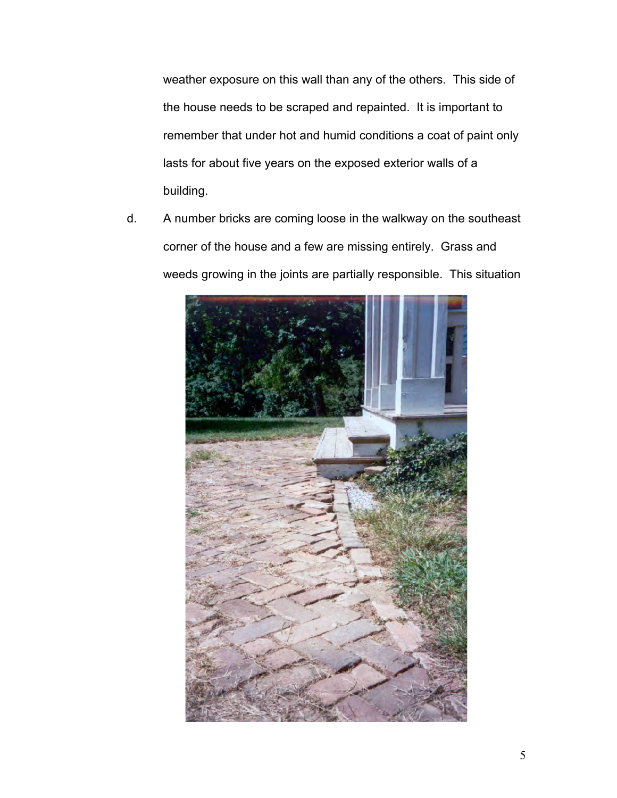weather exposure on this wall than any of the others. This side of the house needs to be scraped and repainted. It is important to remember that under hot and humid conditions a coat of paint only lasts for about five years on the exposed exterior walls of a building.

d. A number bricks are coming loose in the walkway on the southeast corner of the house and a few are missing entirely. Grass and weeds growing in the joints are partially responsible. This situation

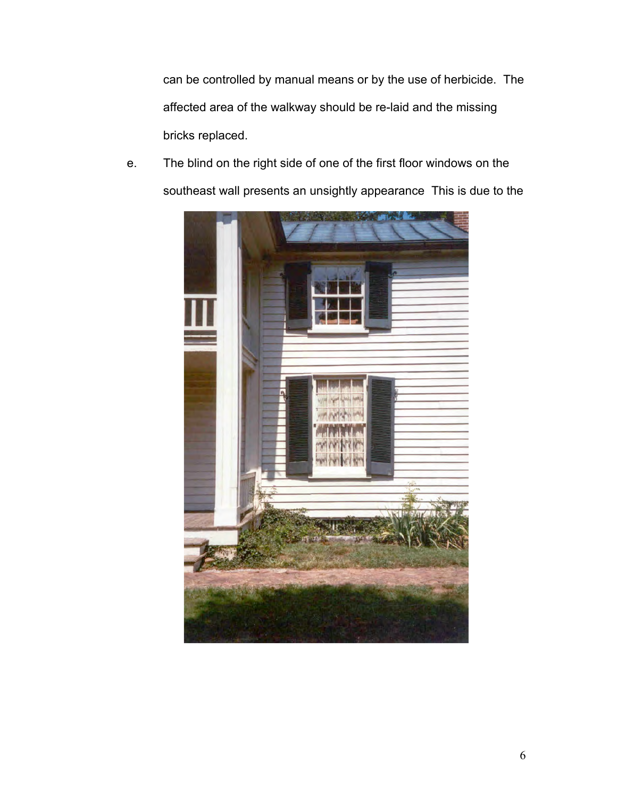can be controlled by manual means or by the use of herbicide. The affected area of the walkway should be re-laid and the missing bricks replaced.

e. The blind on the right side of one of the first floor windows on the southeast wall presents an unsightly appearance This is due to the

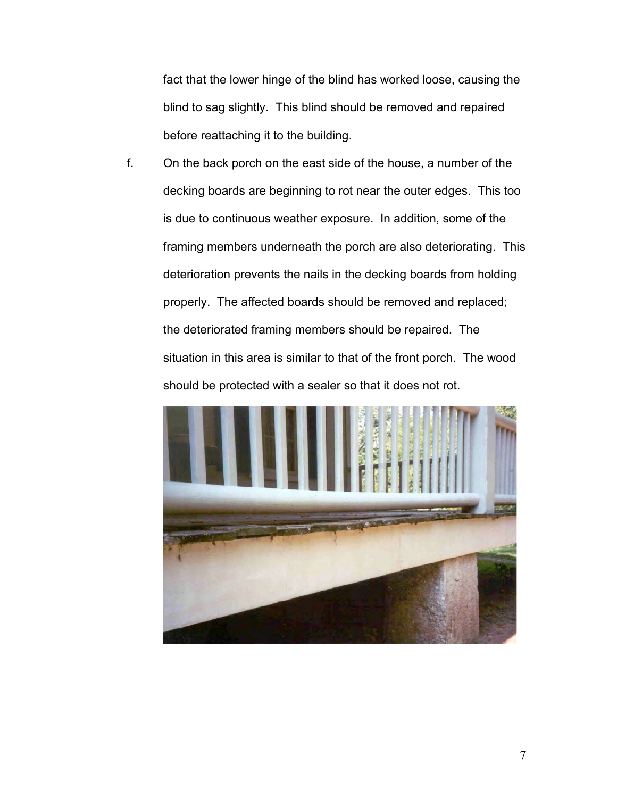fact that the lower hinge of the blind has worked loose, causing the blind to sag slightly. This blind should be removed and repaired before reattaching it to the building.

f. On the back porch on the east side of the house, a number of the decking boards are beginning to rot near the outer edges. This too is due to continuous weather exposure. In addition, some of the framing members underneath the porch are also deteriorating. This deterioration prevents the nails in the decking boards from holding properly. The affected boards should be removed and replaced; the deteriorated framing members should be repaired. The situation in this area is similar to that of the front porch. The wood should be protected with a sealer so that it does not rot.

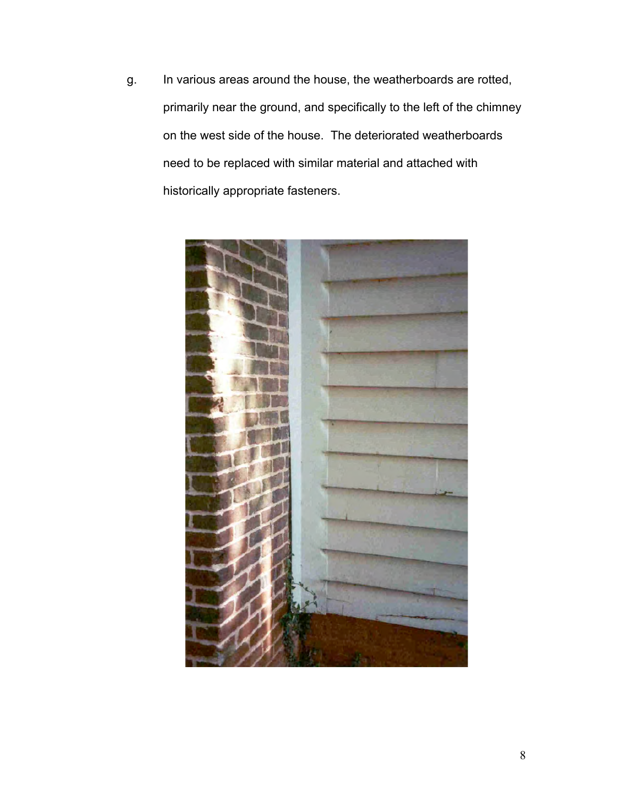g. In various areas around the house, the weatherboards are rotted, primarily near the ground, and specifically to the left of the chimney on the west side of the house. The deteriorated weatherboards need to be replaced with similar material and attached with historically appropriate fasteners.

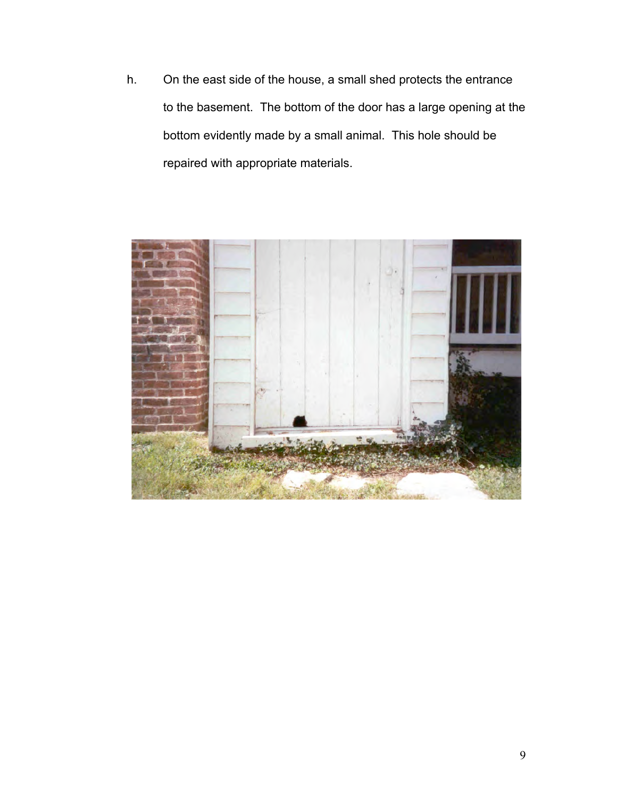h. On the east side of the house, a small shed protects the entrance to the basement. The bottom of the door has a large opening at the bottom evidently made by a small animal. This hole should be repaired with appropriate materials.

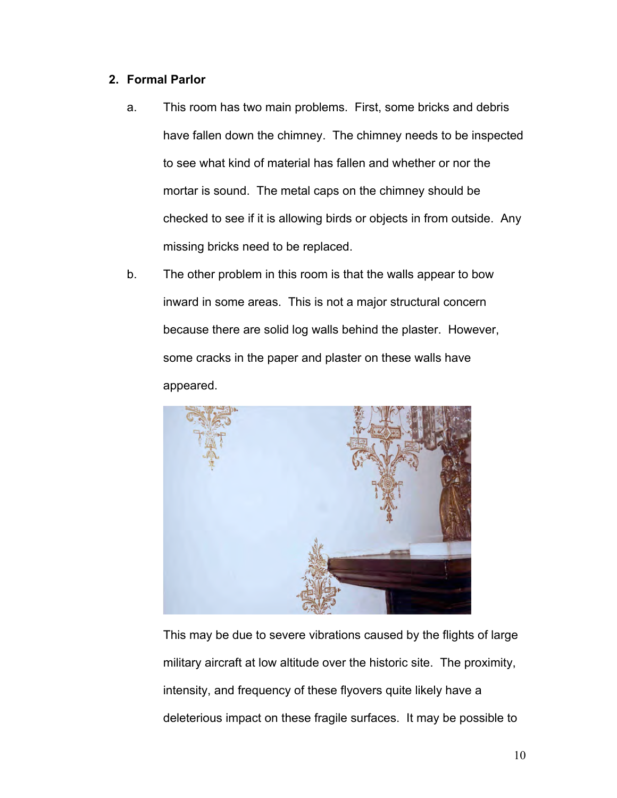## **2. Formal Parlor**

- a. This room has two main problems. First, some bricks and debris have fallen down the chimney. The chimney needs to be inspected to see what kind of material has fallen and whether or nor the mortar is sound. The metal caps on the chimney should be checked to see if it is allowing birds or objects in from outside. Any missing bricks need to be replaced.
- b. The other problem in this room is that the walls appear to bow inward in some areas. This is not a major structural concern because there are solid log walls behind the plaster. However, some cracks in the paper and plaster on these walls have appeared.



This may be due to severe vibrations caused by the flights of large military aircraft at low altitude over the historic site. The proximity, intensity, and frequency of these flyovers quite likely have a deleterious impact on these fragile surfaces. It may be possible to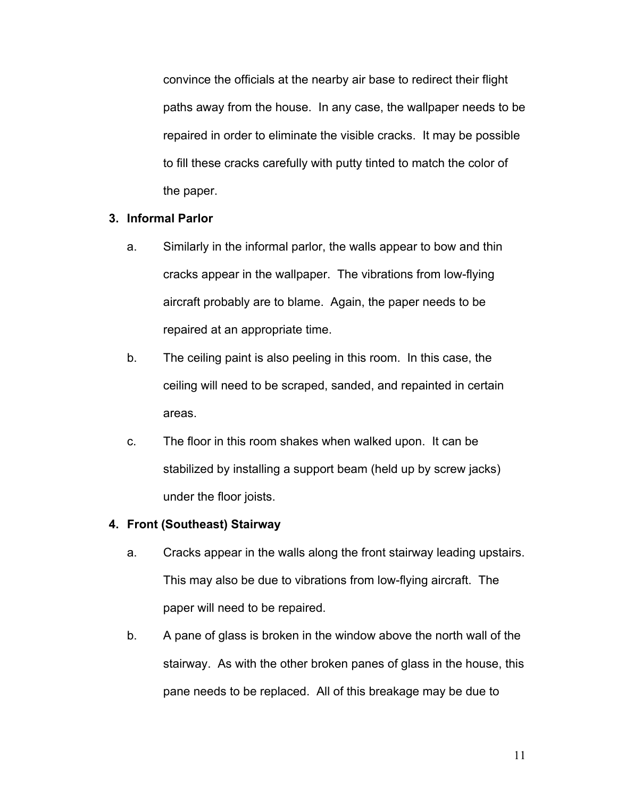convince the officials at the nearby air base to redirect their flight paths away from the house. In any case, the wallpaper needs to be repaired in order to eliminate the visible cracks. It may be possible to fill these cracks carefully with putty tinted to match the color of the paper.

#### **3. Informal Parlor**

- a. Similarly in the informal parlor, the walls appear to bow and thin cracks appear in the wallpaper. The vibrations from low-flying aircraft probably are to blame. Again, the paper needs to be repaired at an appropriate time.
- b. The ceiling paint is also peeling in this room. In this case, the ceiling will need to be scraped, sanded, and repainted in certain areas.
- c. The floor in this room shakes when walked upon. It can be stabilized by installing a support beam (held up by screw jacks) under the floor joists.

### **4. Front (Southeast) Stairway**

- a. Cracks appear in the walls along the front stairway leading upstairs. This may also be due to vibrations from low-flying aircraft. The paper will need to be repaired.
- b. A pane of glass is broken in the window above the north wall of the stairway. As with the other broken panes of glass in the house, this pane needs to be replaced. All of this breakage may be due to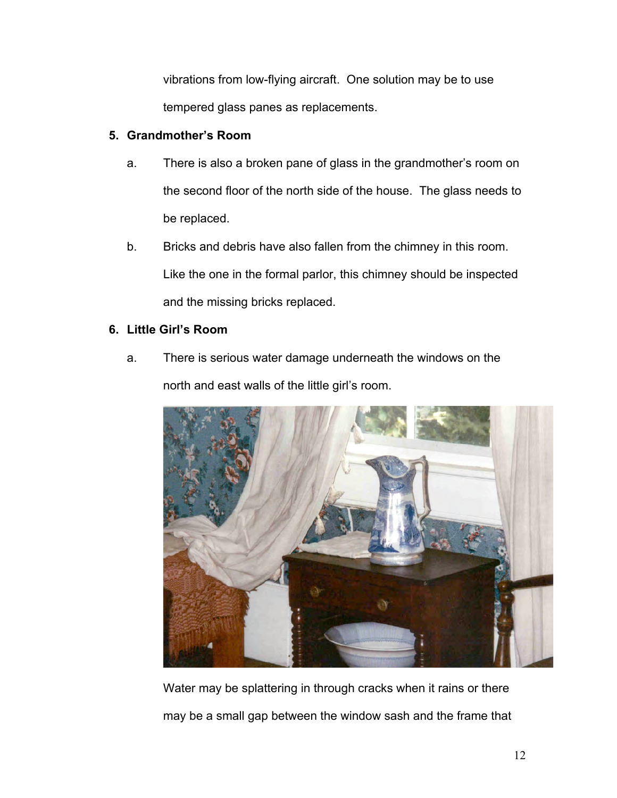vibrations from low-flying aircraft. One solution may be to use tempered glass panes as replacements.

## **5. Grandmother's Room**

- a. There is also a broken pane of glass in the grandmother's room on the second floor of the north side of the house. The glass needs to be replaced.
- b. Bricks and debris have also fallen from the chimney in this room. Like the one in the formal parlor, this chimney should be inspected and the missing bricks replaced.

# **6. Little Girl's Room**

a. There is serious water damage underneath the windows on the north and east walls of the little girl's room.



Water may be splattering in through cracks when it rains or there may be a small gap between the window sash and the frame that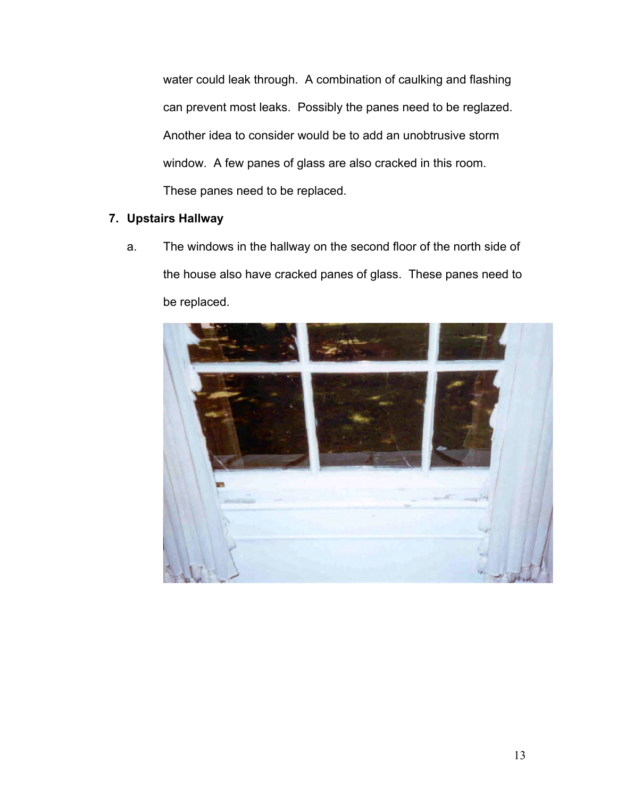water could leak through. A combination of caulking and flashing can prevent most leaks. Possibly the panes need to be reglazed. Another idea to consider would be to add an unobtrusive storm window. A few panes of glass are also cracked in this room. These panes need to be replaced.

# **7. Upstairs Hallway**

a. The windows in the hallway on the second floor of the north side of the house also have cracked panes of glass. These panes need to be replaced.

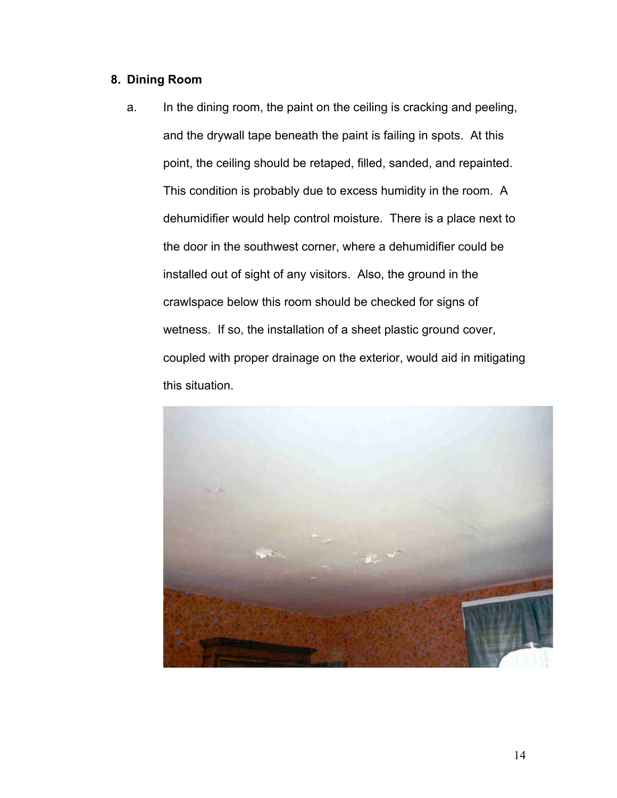# **8. Dining Room**

a. In the dining room, the paint on the ceiling is cracking and peeling, and the drywall tape beneath the paint is failing in spots. At this point, the ceiling should be retaped, filled, sanded, and repainted. This condition is probably due to excess humidity in the room. A dehumidifier would help control moisture. There is a place next to the door in the southwest corner, where a dehumidifier could be installed out of sight of any visitors. Also, the ground in the crawlspace below this room should be checked for signs of wetness. If so, the installation of a sheet plastic ground cover, coupled with proper drainage on the exterior, would aid in mitigating this situation.

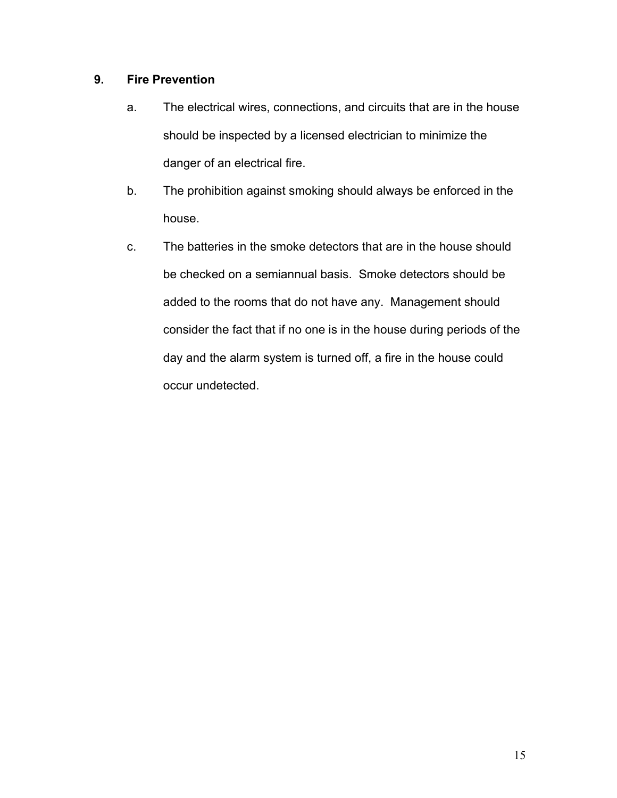## **9. Fire Prevention**

- a. The electrical wires, connections, and circuits that are in the house should be inspected by a licensed electrician to minimize the danger of an electrical fire.
- b. The prohibition against smoking should always be enforced in the house.
- c. The batteries in the smoke detectors that are in the house should be checked on a semiannual basis. Smoke detectors should be added to the rooms that do not have any. Management should consider the fact that if no one is in the house during periods of the day and the alarm system is turned off, a fire in the house could occur undetected.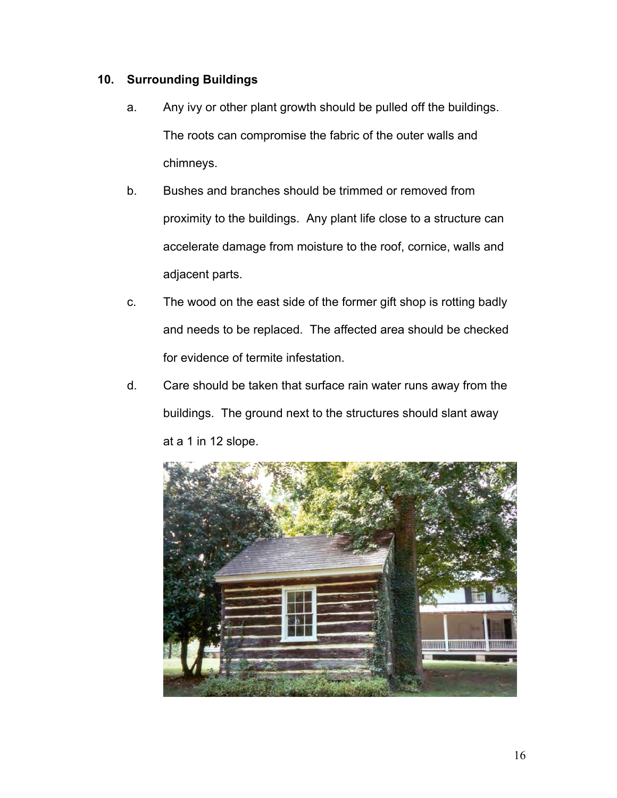## **10. Surrounding Buildings**

- a. Any ivy or other plant growth should be pulled off the buildings. The roots can compromise the fabric of the outer walls and chimneys.
- b. Bushes and branches should be trimmed or removed from proximity to the buildings. Any plant life close to a structure can accelerate damage from moisture to the roof, cornice, walls and adjacent parts.
- c. The wood on the east side of the former gift shop is rotting badly and needs to be replaced. The affected area should be checked for evidence of termite infestation.
- d. Care should be taken that surface rain water runs away from the buildings. The ground next to the structures should slant away at a 1 in 12 slope.